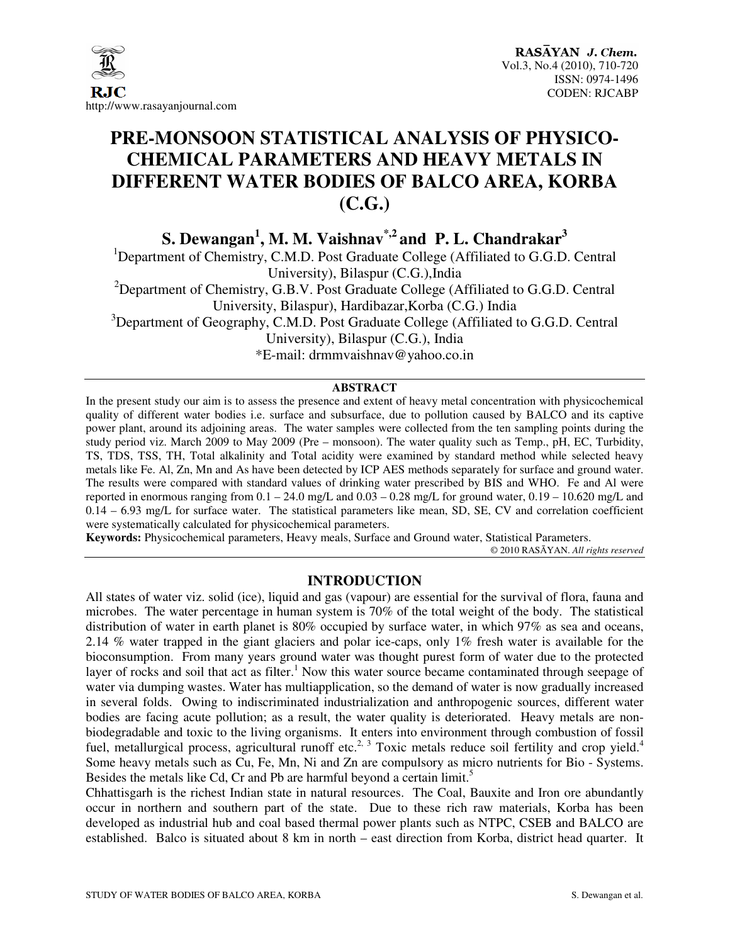

# **PRE-MONSOON STATISTICAL ANALYSIS OF PHYSICO-CHEMICAL PARAMETERS AND HEAVY METALS IN DIFFERENT WATER BODIES OF BALCO AREA, KORBA (C.G.)**

**S. Dewangan<sup>1</sup> , M. M. Vaishnav\*,2 and P. L. Chandrakar<sup>3</sup>**

<sup>1</sup>Department of Chemistry, C.M.D. Post Graduate College (Affiliated to G.G.D. Central University), Bilaspur (C.G.),India <sup>2</sup>Department of Chemistry, G.B.V. Post Graduate College (Affiliated to G.G.D. Central University, Bilaspur), Hardibazar,Korba (C.G.) India  $3$ Department of Geography, C.M.D. Post Graduate College (Affiliated to G.G.D. Central University), Bilaspur (C.G.), India

\*E-mail: drmmvaishnav@yahoo.co.in

#### **ABSTRACT**

In the present study our aim is to assess the presence and extent of heavy metal concentration with physicochemical quality of different water bodies i.e. surface and subsurface, due to pollution caused by BALCO and its captive power plant, around its adjoining areas. The water samples were collected from the ten sampling points during the study period viz. March 2009 to May 2009 (Pre – monsoon). The water quality such as Temp., pH, EC, Turbidity, TS, TDS, TSS, TH, Total alkalinity and Total acidity were examined by standard method while selected heavy metals like Fe. Al, Zn, Mn and As have been detected by ICP AES methods separately for surface and ground water. The results were compared with standard values of drinking water prescribed by BIS and WHO. Fe and Al were reported in enormous ranging from  $0.1 - 24.0$  mg/L and  $0.03 - 0.28$  mg/L for ground water,  $0.19 - 10.620$  mg/L and 0.14 – 6.93 mg/L for surface water. The statistical parameters like mean, SD, SE, CV and correlation coefficient were systematically calculated for physicochemical parameters.

**Keywords:** Physicochemical parameters, Heavy meals, Surface and Ground water, Statistical Parameters.

© 2010 RASĀYAN. *All rights reserved*

# **INTRODUCTION**

All states of water viz. solid (ice), liquid and gas (vapour) are essential for the survival of flora, fauna and microbes. The water percentage in human system is 70% of the total weight of the body. The statistical distribution of water in earth planet is 80% occupied by surface water, in which 97% as sea and oceans, 2.14 % water trapped in the giant glaciers and polar ice-caps, only 1% fresh water is available for the bioconsumption. From many years ground water was thought purest form of water due to the protected layer of rocks and soil that act as filter.<sup>1</sup> Now this water source became contaminated through seepage of water via dumping wastes. Water has multiapplication, so the demand of water is now gradually increased in several folds. Owing to indiscriminated industrialization and anthropogenic sources, different water bodies are facing acute pollution; as a result, the water quality is deteriorated. Heavy metals are nonbiodegradable and toxic to the living organisms. It enters into environment through combustion of fossil fuel, metallurgical process, agricultural runoff etc.<sup>2, 3</sup> Toxic metals reduce soil fertility and crop yield.<sup>4</sup> Some heavy metals such as Cu, Fe, Mn, Ni and Zn are compulsory as micro nutrients for Bio - Systems. Besides the metals like Cd, Cr and Pb are harmful beyond a certain limit.<sup>5</sup>

Chhattisgarh is the richest Indian state in natural resources. The Coal, Bauxite and Iron ore abundantly occur in northern and southern part of the state. Due to these rich raw materials, Korba has been developed as industrial hub and coal based thermal power plants such as NTPC, CSEB and BALCO are established. Balco is situated about 8 km in north – east direction from Korba, district head quarter. It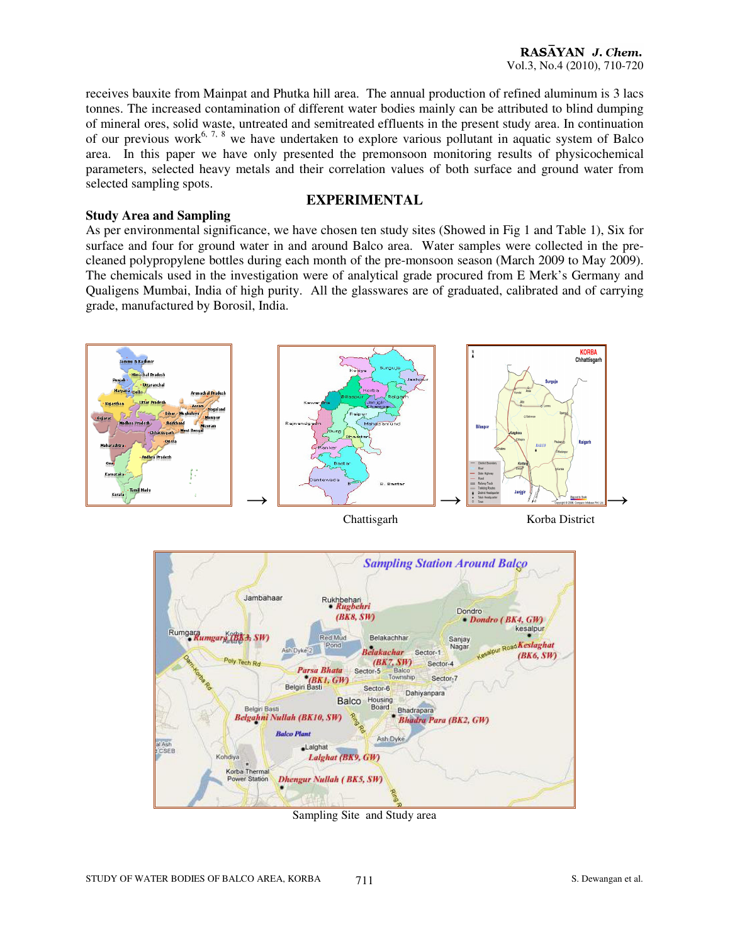receives bauxite from Mainpat and Phutka hill area. The annual production of refined aluminum is 3 lacs tonnes. The increased contamination of different water bodies mainly can be attributed to blind dumping of mineral ores, solid waste, untreated and semitreated effluents in the present study area. In continuation of our previous work<sup>6, 7, 8</sup> we have undertaken to explore various pollutant in aquatic system of Balco area. In this paper we have only presented the premonsoon monitoring results of physicochemical parameters, selected heavy metals and their correlation values of both surface and ground water from selected sampling spots.

#### **EXPERIMENTAL**

**Study Area and Sampling**  As per environmental significance, we have chosen ten study sites (Showed in Fig 1 and Table 1), Six for surface and four for ground water in and around Balco area. Water samples were collected in the precleaned polypropylene bottles during each month of the pre-monsoon season (March 2009 to May 2009). The chemicals used in the investigation were of analytical grade procured from E Merk's Germany and Qualigens Mumbai, India of high purity. All the glasswares are of graduated, calibrated and of carrying grade, manufactured by Borosil, India.



Sampling Site and Study area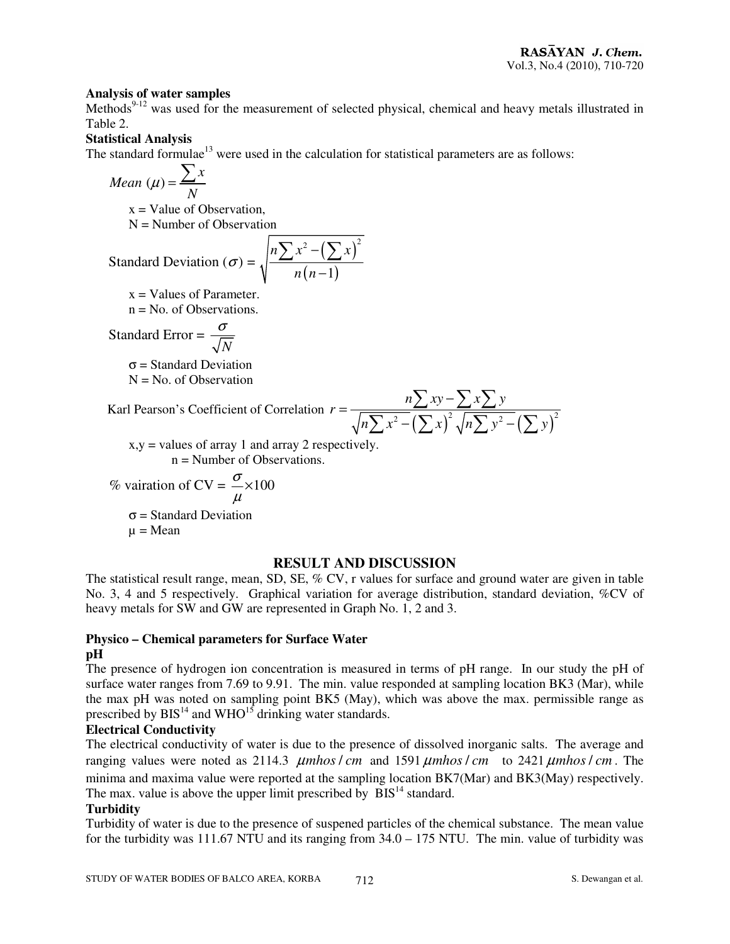#### **Analysis of water samples**

Methods<sup>9-12</sup> was used for the measurement of selected physical, chemical and heavy metals illustrated in Table 2.

# **Statistical Analysis**

The standard formulae<sup>13</sup> were used in the calculation for statistical parameters are as follows:

$$
Mean \ (\mu) = \frac{\sum x}{N}
$$

 $x = Value of Observation,$ 

 $N =$  Number of Observation

Standard Deviation (
$$
\sigma
$$
) =  $\sqrt{\frac{n \sum x^2 - (\sum x)^2}{n(n-1)}}$ 

 $x =$ Values of Parameter.

n = No. of Observations.

Standard Error = 
$$
\frac{\sigma}{\sqrt{N}}
$$

 $\sigma$  = Standard Deviation  $N = No$ . of Observation

Karl Pearson's Coefficient of Correlation *r* =

$$
\frac{n\sum xy - \sum x \sum y}{\sqrt{n\sum x^2 - (\sum x)^2 \sqrt{n\sum y^2 - (\sum y)^2}}}
$$

 $x, y =$  values of array 1 and array 2 respectively.  $n =$  Number of Observations.

% variation of CV = 
$$
\frac{\sigma}{\mu}
$$
 ×100

 $\sigma$  = Standard Deviation  $\mu$  = Mean

# **RESULT AND DISCUSSION**

The statistical result range, mean, SD, SE, % CV, r values for surface and ground water are given in table No. 3, 4 and 5 respectively. Graphical variation for average distribution, standard deviation, %CV of heavy metals for SW and GW are represented in Graph No. 1, 2 and 3.

#### **Physico – Chemical parameters for Surface Water pH**

The presence of hydrogen ion concentration is measured in terms of pH range. In our study the pH of surface water ranges from 7.69 to 9.91. The min. value responded at sampling location BK3 (Mar), while the max pH was noted on sampling point BK5 (May), which was above the max. permissible range as prescribed by  $BIS<sup>14</sup>$  and  $WHO<sup>15</sup>$  drinking water standards.

# **Electrical Conductivity**

The electrical conductivity of water is due to the presence of dissolved inorganic salts. The average and ranging values were noted as 2114.3  $\mu$ mhos / cm and 1591  $\mu$ mhos / cm to 2421  $\mu$ mhos / cm. The minima and maxima value were reported at the sampling location BK7(Mar) and BK3(May) respectively. The max. value is above the upper limit prescribed by  $BIS<sup>14</sup>$  standard.

# **Turbidity**

Turbidity of water is due to the presence of suspened particles of the chemical substance. The mean value for the turbidity was 111.67 NTU and its ranging from 34.0 – 175 NTU. The min. value of turbidity was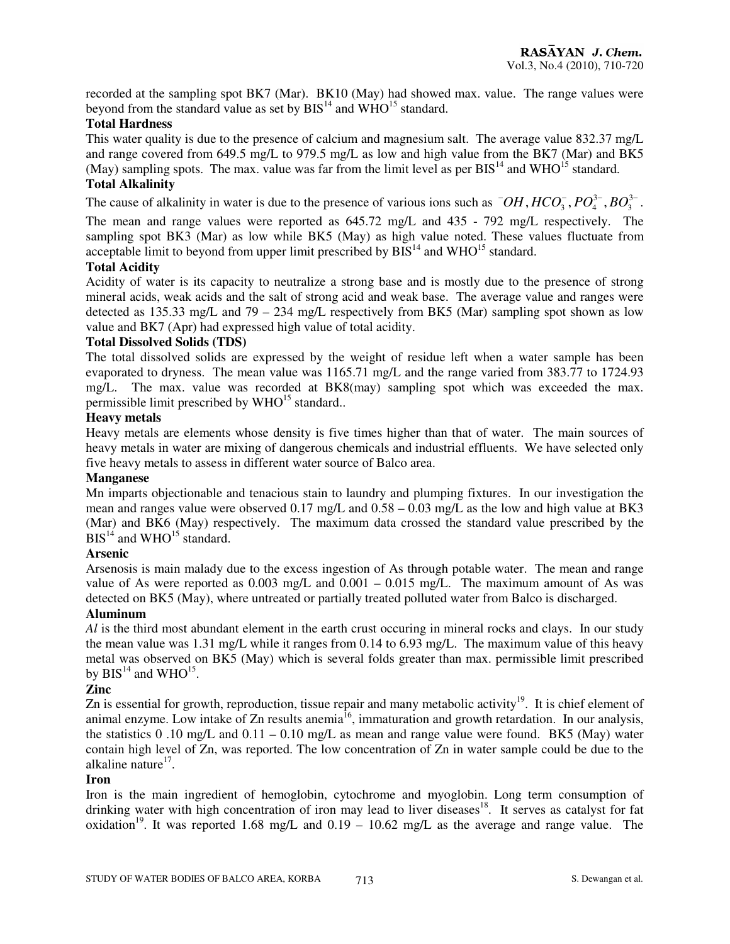recorded at the sampling spot BK7 (Mar). BK10 (May) had showed max. value. The range values were beyond from the standard value as set by  $BIS<sup>14</sup>$  and  $WHO<sup>15</sup>$  standard.

# **Total Hardness**

This water quality is due to the presence of calcium and magnesium salt. The average value 832.37 mg/L and range covered from 649.5 mg/L to 979.5 mg/L as low and high value from the BK7 (Mar) and BK5 (May) sampling spots. The max. value was far from the limit level as per  $BIS<sup>14</sup>$  and WHO<sup>15</sup> standard.

# **Total Alkalinity**

The cause of alkalinity in water is due to the presence of various ions such as  $\overline{OH}$ ,  $HCO_3^-$ ,  $PO_4^{3-}$ ,  $BO_3^{3-}$ .

The mean and range values were reported as 645.72 mg/L and 435 - 792 mg/L respectively. The sampling spot BK3 (Mar) as low while BK5 (May) as high value noted. These values fluctuate from acceptable limit to beyond from upper limit prescribed by  $BIS<sup>14</sup>$  and WHO<sup>15</sup> standard.

# **Total Acidity**

Acidity of water is its capacity to neutralize a strong base and is mostly due to the presence of strong mineral acids, weak acids and the salt of strong acid and weak base. The average value and ranges were detected as 135.33 mg/L and 79 – 234 mg/L respectively from BK5 (Mar) sampling spot shown as low value and BK7 (Apr) had expressed high value of total acidity.

# **Total Dissolved Solids (TDS)**

The total dissolved solids are expressed by the weight of residue left when a water sample has been evaporated to dryness. The mean value was 1165.71 mg/L and the range varied from 383.77 to 1724.93 mg/L. The max. value was recorded at BK8(may) sampling spot which was exceeded the max. permissible limit prescribed by  $WHO<sup>15</sup>$  standard..

# **Heavy metals**

Heavy metals are elements whose density is five times higher than that of water. The main sources of heavy metals in water are mixing of dangerous chemicals and industrial effluents. We have selected only five heavy metals to assess in different water source of Balco area.

#### **Manganese**

Mn imparts objectionable and tenacious stain to laundry and plumping fixtures. In our investigation the mean and ranges value were observed 0.17 mg/L and 0.58 – 0.03 mg/L as the low and high value at BK3 (Mar) and BK6 (May) respectively. The maximum data crossed the standard value prescribed by the  $BIS<sup>14</sup>$  and WHO<sup>15</sup> standard.

# **Arsenic**

Arsenosis is main malady due to the excess ingestion of As through potable water. The mean and range value of As were reported as  $0.003 \text{ mg/L}$  and  $0.001 - 0.015 \text{ mg/L}$ . The maximum amount of As was detected on BK5 (May), where untreated or partially treated polluted water from Balco is discharged.

#### **Aluminum**

*Al* is the third most abundant element in the earth crust occuring in mineral rocks and clays. In our study the mean value was 1.31 mg/L while it ranges from 0.14 to 6.93 mg/L. The maximum value of this heavy metal was observed on BK5 (May) which is several folds greater than max. permissible limit prescribed by  $BIS^{14}$  and WHO<sup>15</sup>.

# **Zinc**

Zn is essential for growth, reproduction, tissue repair and many metabolic activity<sup>19</sup>. It is chief element of animal enzyme. Low intake of Zn results anemia<sup>16</sup>, immaturation and growth retardation. In our analysis, the statistics 0.10 mg/L and  $0.11 - 0.10$  mg/L as mean and range value were found. BK5 (May) water contain high level of Zn, was reported. The low concentration of Zn in water sample could be due to the alkaline nature<sup>17</sup>.

# **Iron**

Iron is the main ingredient of hemoglobin, cytochrome and myoglobin. Long term consumption of drinking water with high concentration of iron may lead to liver diseases<sup>18</sup>. It serves as catalyst for fat oxidation<sup>19</sup>. It was reported 1.68 mg/L and  $0.19 - 10.62$  mg/L as the average and range value. The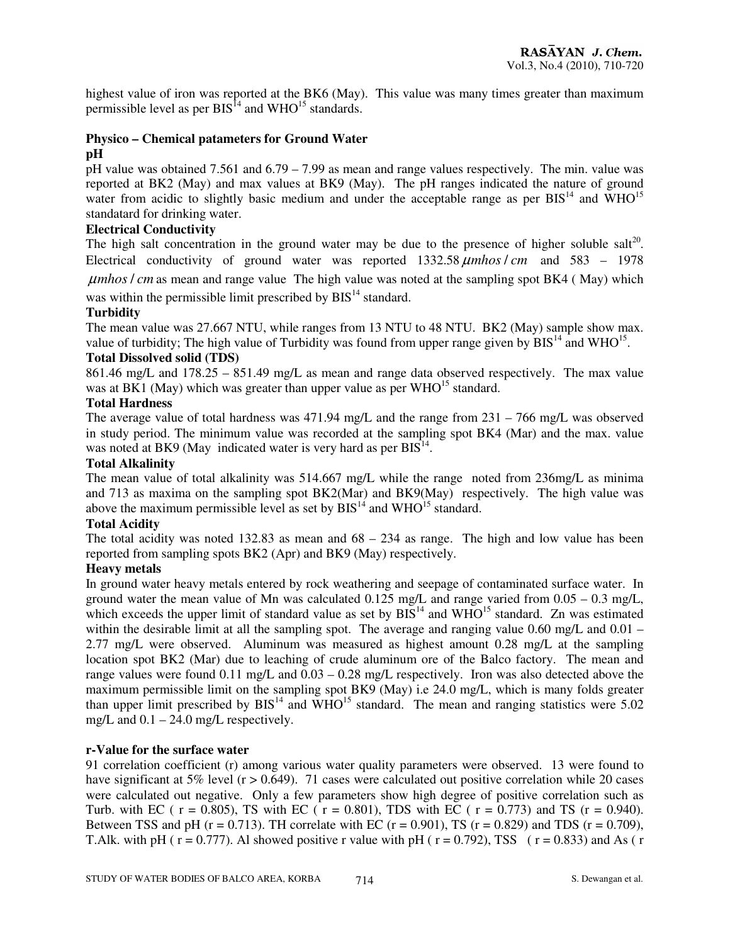highest value of iron was reported at the BK6 (May). This value was many times greater than maximum permissible level as per  $BIS<sup>14</sup>$  and WHO<sup>15</sup> standards.

# **Physico – Chemical patameters for Ground Water**

#### **pH**

pH value was obtained 7.561 and 6.79 – 7.99 as mean and range values respectively. The min. value was reported at BK2 (May) and max values at BK9 (May). The pH ranges indicated the nature of ground water from acidic to slightly basic medium and under the acceptable range as per  $BIS<sup>14</sup>$  and WHO<sup>15</sup> standatard for drinking water.

# **Electrical Conductivity**

The high salt concentration in the ground water may be due to the presence of higher soluble salt<sup>20</sup>. Electrical conductivity of ground water was reported  $1332.58 \mu m \text{h}$  *os i* cm and  $583 - 1978$ 

*umhos / cm* as mean and range value The high value was noted at the sampling spot BK4 (May) which

was within the permissible limit prescribed by  $BIS<sup>14</sup>$  standard.

#### **Turbidity**

The mean value was 27.667 NTU, while ranges from 13 NTU to 48 NTU. BK2 (May) sample show max. value of turbidity; The high value of Turbidity was found from upper range given by  $BIS<sup>14</sup>$  and WHO<sup>15</sup>.

# **Total Dissolved solid (TDS)**

861.46 mg/L and 178.25 – 851.49 mg/L as mean and range data observed respectively. The max value was at BK1 (May) which was greater than upper value as per  $WHO<sup>15</sup>$  standard.

#### **Total Hardness**

The average value of total hardness was 471.94 mg/L and the range from 231 – 766 mg/L was observed in study period. The minimum value was recorded at the sampling spot BK4 (Mar) and the max. value was noted at BK9 (May indicated water is very hard as per  $BIS^{14}$ .

#### **Total Alkalinity**

The mean value of total alkalinity was 514.667 mg/L while the range noted from 236mg/L as minima and 713 as maxima on the sampling spot BK2(Mar) and BK9(May) respectively. The high value was above the maximum permissible level as set by  $BIS<sup>14</sup>$  and WHO<sup>15</sup> standard.

# **Total Acidity**

The total acidity was noted 132.83 as mean and  $68 - 234$  as range. The high and low value has been reported from sampling spots BK2 (Apr) and BK9 (May) respectively.

# **Heavy metals**

In ground water heavy metals entered by rock weathering and seepage of contaminated surface water. In ground water the mean value of Mn was calculated  $0.125 \text{ mg/L}$  and range varied from  $0.05 - 0.3 \text{ mg/L}$ , which exceeds the upper limit of standard value as set by  $\overline{BIS}^{14}$  and  $\overline{WHO}^{15}$  standard. Zn was estimated within the desirable limit at all the sampling spot. The average and ranging value 0.60 mg/L and 0.01 – 2.77 mg/L were observed. Aluminum was measured as highest amount 0.28 mg/L at the sampling location spot BK2 (Mar) due to leaching of crude aluminum ore of the Balco factory. The mean and range values were found 0.11 mg/L and 0.03 – 0.28 mg/L respectively. Iron was also detected above the maximum permissible limit on the sampling spot BK9 (May) i.e 24.0 mg/L, which is many folds greater than upper limit prescribed by  $BIS<sup>14</sup>$  and  $WHO<sup>15</sup>$  standard. The mean and ranging statistics were 5.02 mg/L and  $0.1 - 24.0$  mg/L respectively.

#### **r-Value for the surface water**

91 correlation coefficient (r) among various water quality parameters were observed. 13 were found to have significant at 5% level (r > 0.649). 71 cases were calculated out positive correlation while 20 cases were calculated out negative. Only a few parameters show high degree of positive correlation such as Turb. with EC ( $r = 0.805$ ), TS with EC ( $r = 0.801$ ), TDS with EC ( $r = 0.773$ ) and TS ( $r = 0.940$ ). Between TSS and pH ( $r = 0.713$ ). TH correlate with EC ( $r = 0.901$ ), TS ( $r = 0.829$ ) and TDS ( $r = 0.709$ ), T.Alk. with pH ( $r = 0.777$ ). Al showed positive r value with pH ( $r = 0.792$ ), TSS ( $r = 0.833$ ) and As ( $r = 0.833$ )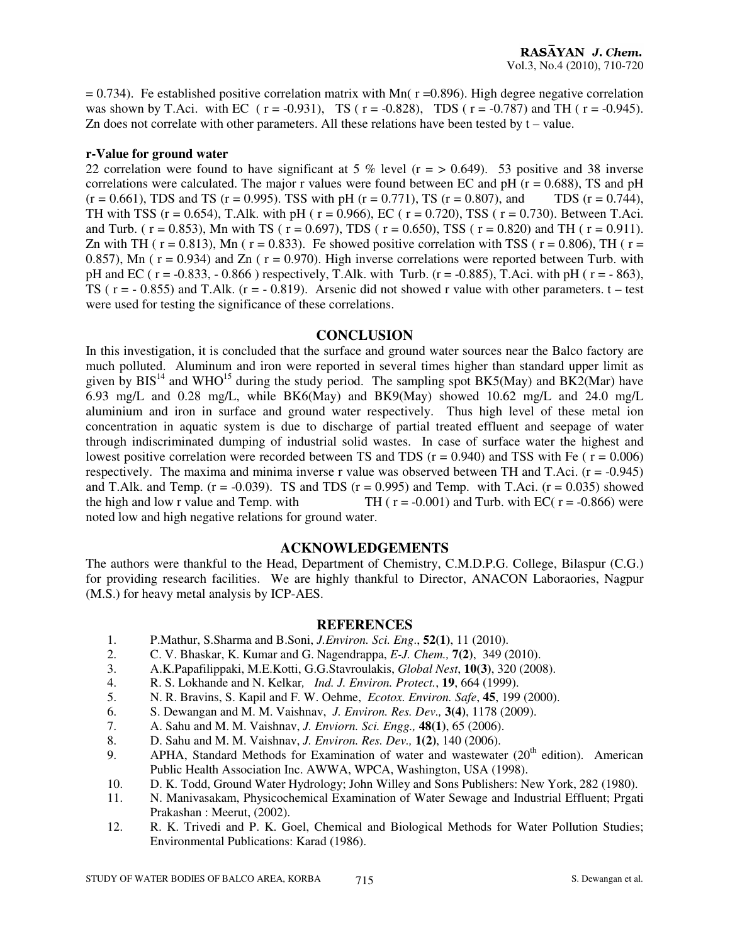$= 0.734$ ). Fe established positive correlation matrix with Mn( r =0.896). High degree negative correlation was shown by T.Aci. with EC ( $r = -0.931$ ), TS ( $r = -0.828$ ), TDS ( $r = -0.787$ ) and TH ( $r = -0.945$ ). Zn does not correlate with other parameters. All these relations have been tested by  $t -$  value.

#### **r-Value for ground water**

22 correlation were found to have significant at 5 % level ( $r = > 0.649$ ). 53 positive and 38 inverse correlations were calculated. The major r values were found between EC and  $pH$  ( $r = 0.688$ ), TS and  $pH$  $(r = 0.661)$ , TDS and TS (r = 0.995). TSS with pH (r = 0.771), TS (r = 0.807), and TDS (r = 0.744), TH with TSS ( $r = 0.654$ ), T.Alk. with pH ( $r = 0.966$ ), EC ( $r = 0.720$ ), TSS ( $r = 0.730$ ). Between T.Aci. and Turb. (  $r = 0.853$ ), Mn with TS (  $r = 0.697$ ), TDS (  $r = 0.650$ ), TSS (  $r = 0.820$ ) and TH (  $r = 0.911$ ). Zn with TH ( $r = 0.813$ ), Mn ( $r = 0.833$ ). Fe showed positive correlation with TSS ( $r = 0.806$ ), TH ( $r = 0.813$ ) 0.857), Mn ( $r = 0.934$ ) and Zn ( $r = 0.970$ ). High inverse correlations were reported between Turb. with pH and EC ( $r = -0.833$ ,  $-0.866$ ) respectively, T.Alk. with Turb. ( $r = -0.885$ ), T.Aci. with pH ( $r = -863$ ), TS ( $r = -0.855$ ) and T.Alk. ( $r = -0.819$ ). Arsenic did not showed r value with other parameters.  $t -$ test were used for testing the significance of these correlations.

#### **CONCLUSION**

In this investigation, it is concluded that the surface and ground water sources near the Balco factory are much polluted. Aluminum and iron were reported in several times higher than standard upper limit as given by  $BIS<sup>14</sup>$  and WHO<sup>15</sup> during the study period. The sampling spot BK5(May) and BK2(Mar) have 6.93 mg/L and 0.28 mg/L, while BK6(May) and BK9(May) showed 10.62 mg/L and 24.0 mg/L aluminium and iron in surface and ground water respectively. Thus high level of these metal ion concentration in aquatic system is due to discharge of partial treated effluent and seepage of water through indiscriminated dumping of industrial solid wastes. In case of surface water the highest and lowest positive correlation were recorded between TS and TDS  $(r = 0.940)$  and TSS with Fe ( $r = 0.006$ ) respectively. The maxima and minima inverse r value was observed between TH and T.Aci.  $(r = -0.945)$ and T.Alk. and Temp.  $(r = -0.039)$ . TS and TDS  $(r = 0.995)$  and Temp. with T.Aci.  $(r = 0.035)$  showed the high and low r value and Temp. with TH ( $r = -0.001$ ) and Turb. with EC( $r = -0.866$ ) were noted low and high negative relations for ground water.

#### **ACKNOWLEDGEMENTS**

The authors were thankful to the Head, Department of Chemistry, C.M.D.P.G. College, Bilaspur (C.G.) for providing research facilities. We are highly thankful to Director, ANACON Laboraories, Nagpur (M.S.) for heavy metal analysis by ICP-AES.

#### **REFERENCES**

- 1. P.Mathur, S.Sharma and B.Soni, *J.Environ. Sci. Eng*., **52(1)**, 11 (2010).
- 2. C. V. Bhaskar, K. Kumar and G. Nagendrappa, *E-J. Chem.,* **7(2)**, 349 (2010).
- 3. A.K.Papafilippaki, M.E.Kotti, G.G.Stavroulakis, *Global Nest*, **10(3)**, 320 (2008).
- 4. R. S. Lokhande and N. Kelkar*, Ind. J. Environ. Protect.*, **19**, 664 (1999).
- 5. N. R. Bravins, S. Kapil and F. W. Oehme, *Ecotox. Environ. Safe*, **45**, 199 (2000).
- 6. S. Dewangan and M. M. Vaishnav, *J. Environ. Res. Dev.,* **3(4)**, 1178 (2009).
- 7. A. Sahu and M. M. Vaishnav, *J. Enviorn. Sci. Engg.,* **48(1)**, 65 (2006).
- 8. D. Sahu and M. M. Vaishnav, *J. Environ. Res. Dev.,* **1(2)**, 140 (2006).
- 9. APHA, Standard Methods for Examination of water and wastewater  $(20<sup>th</sup>$  edition). American Public Health Association Inc. AWWA, WPCA, Washington, USA (1998).
- 10. D. K. Todd, Ground Water Hydrology; John Willey and Sons Publishers: New York, 282 (1980).
- 11. N. Manivasakam, Physicochemical Examination of Water Sewage and Industrial Effluent; Prgati Prakashan : Meerut, (2002).
- 12. R. K. Trivedi and P. K. Goel, Chemical and Biological Methods for Water Pollution Studies; Environmental Publications: Karad (1986).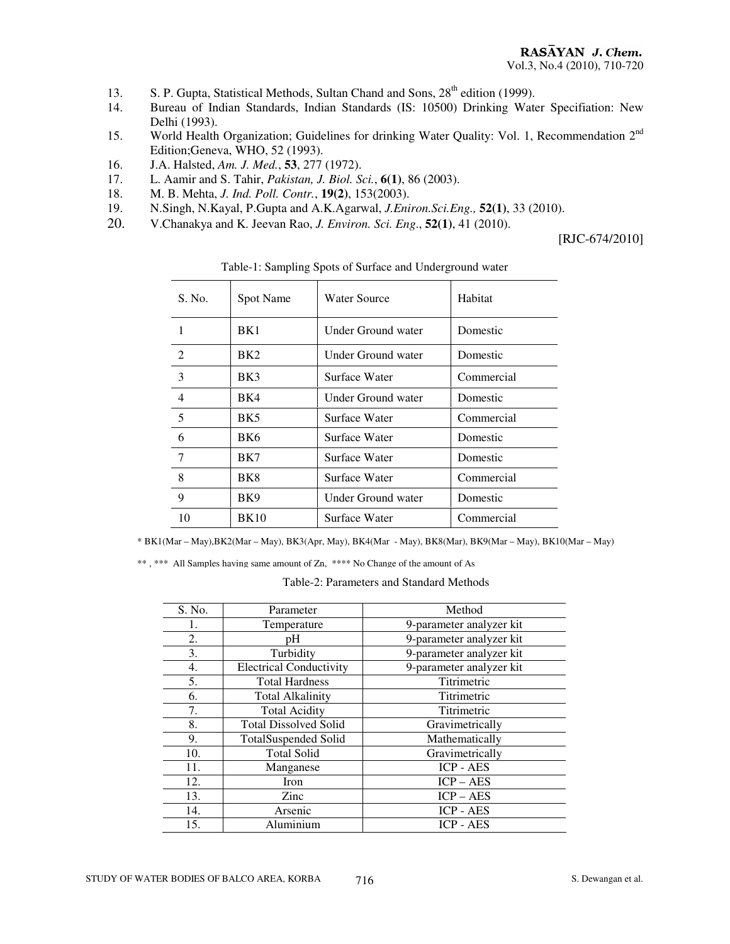- 13. S. P. Gupta, Statistical Methods, Sultan Chand and Sons, 28<sup>th</sup> edition (1999).
- 14. Bureau of Indian Standards, Indian Standards (IS: 10500) Drinking Water Specifiation: New Delhi (1993).
- 15. World Health Organization; Guidelines for drinking Water Quality: Vol. 1, Recommendation 2<sup>nd</sup> Edition;Geneva, WHO, 52 (1993).
- 16. J.A. Halsted, *Am. J. Med.*, **53**, 277 (1972).
- 17. L. Aamir and S. Tahir, *Pakistan, J. Biol. Sci.*, **6(1)**, 86 (2003).
- 18. M. B. Mehta, *J. Ind. Poll. Contr.*, **19(2)**, 153(2003).
- 19. N.Singh, N.Kayal, P.Gupta and A.K.Agarwal, *J.Eniron.Sci.Eng.,* **52(1)**, 33 (2010).
- 20. V.Chanakya and K. Jeevan Rao, *J. Environ. Sci. Eng*., **52(1)**, 41 (2010).

[RJC-674/2010]

| S. No.                      | Spot Name       | <b>Water Source</b> | Habitat    |
|-----------------------------|-----------------|---------------------|------------|
|                             | BK1             | Under Ground water  | Domestic   |
| $\mathcal{D}_{\mathcal{L}}$ | BK <sub>2</sub> | Under Ground water  | Domestic   |
| 3                           | BK3             | Surface Water       | Commercial |
| 4                           | BK4             | Under Ground water  | Domestic   |
| 5                           | BK <sub>5</sub> | Surface Water       | Commercial |
| 6                           | BK6             | Surface Water       | Domestic   |
| 7                           | BK7             | Surface Water       | Domestic   |
| 8                           | BK8             | Surface Water       | Commercial |
| 9                           | BK9             | Under Ground water  | Domestic   |
| 10                          | <b>BK10</b>     | Surface Water       | Commercial |

Table-1: Sampling Spots of Surface and Underground water

\* BK1(Mar – May),BK2(Mar – May), BK3(Apr, May), BK4(Mar - May), BK8(Mar), BK9(Mar – May), BK10(Mar – May)

\*\*, \*\*\* All Samples having same amount of Zn, \*\*\*\* No Change of the amount of As

Table-2: Parameters and Standard Methods

| S. No. | Parameter                      | Method                   |
|--------|--------------------------------|--------------------------|
| 1.     | Temperature                    | 9-parameter analyzer kit |
| 2.     | pΗ                             | 9-parameter analyzer kit |
| 3.     | Turbidity                      | 9-parameter analyzer kit |
| 4.     | <b>Electrical Conductivity</b> | 9-parameter analyzer kit |
| 5.     | <b>Total Hardness</b>          | Titrimetric              |
| 6.     | <b>Total Alkalinity</b>        | Titrimetric              |
| 7.     | <b>Total Acidity</b>           | Titrimetric              |
| 8.     | <b>Total Dissolved Solid</b>   | Gravimetrically          |
| 9.     | <b>TotalSuspended Solid</b>    | Mathematically           |
| 10.    | <b>Total Solid</b>             | Gravimetrically          |
| 11.    | Manganese                      | <b>ICP - AES</b>         |
| 12.    | Iron                           | $ICP - AES$              |
| 13.    | Zinc                           | $ICP - AES$              |
| 14.    | Arsenic                        | <b>ICP - AES</b>         |
| 15.    | Aluminium                      | <b>ICP - AES</b>         |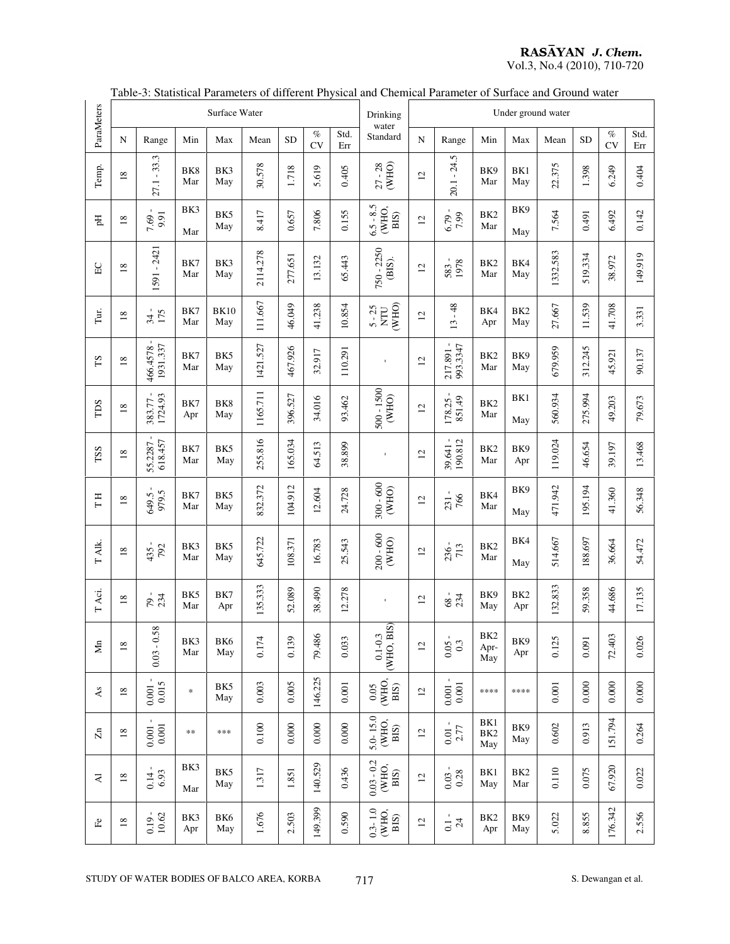# **RASAYAN J. Chem.**<br>Vol.3, No.4 (2010), 710-720

|              |                 |                               |            | Surface Water          |          |           |            |             | Drinking                             | Under ground water |                                               |                                |                        |           |           |                   |             |
|--------------|-----------------|-------------------------------|------------|------------------------|----------|-----------|------------|-------------|--------------------------------------|--------------------|-----------------------------------------------|--------------------------------|------------------------|-----------|-----------|-------------------|-------------|
| ParaMeters   | N               | Range                         | Min        | Max                    | Mean     | <b>SD</b> | $\%$<br>CV | Std.<br>Err | water<br>Standard                    | N                  | Range                                         | Min                            | Max                    | Mean      | <b>SD</b> | $\%$<br><b>CV</b> | Std.<br>Err |
| Temp.        | 18              | $27.1 - 33.3$                 | BK8<br>Mar | BK3<br>May             | 30.578   | 1.718     | 5.619      | 0.405       | $27 - 28$<br>(WHO)                   | 12                 | $20.1 - 24.5$                                 | BK9<br>Mar                     | BK1<br>May             | 22.375    | 1.398     | 6.249             | 0.404       |
| E            | $18\,$          | $\mathbf{L}$<br>9.91<br>7.69. | BK3<br>Mar | BK5<br>May             | 8.417    | 0.657     | 7.806      | 0.155       | $6.5 - 8.5$<br>(WHO,<br>BIS)         | 12                 | $6.79 -$                                      | BK <sub>2</sub><br>Mar         | BK9<br>May             | 7.564     | 0.491     | 6.492             | 0.142       |
| E            | $18\,$          | 591 - 2421                    | BK7<br>Mar | BK3<br>May             | 2114.278 | 277.651   | 13.132     | 65.443      | 750 - 2250<br>(BIS).                 | 12                 | 1978<br>583                                   | BK <sub>2</sub><br>Mar         | BK4<br>May             | 1332.583  | 519.334   | 38.972            | 149.919     |
| Tur.         | 18              | 34 -<br>34                    | BK7<br>Mar | <b>BK10</b><br>May     | 111.667  | 46.049    | 41.238     | 10.854      | (WHO)<br>$5 - 25$<br>$\rm N\bar{T}$  | $\overline{2}$     | $13 - 48$                                     | BK4<br>Apr                     | BK <sub>2</sub><br>May | 27.667    | 11.539    | 41.708            | 3.331       |
| $\Gamma S$   | $\overline{18}$ | 1931.337<br>466.4578          | BK7<br>Mar | BK5<br>May             | 1421.527 | 467.926   | 32.917     | 110.291     | $\mathbf{I}$                         | 12                 | $\blacksquare$<br>993.3347<br>217.891         | BK <sub>2</sub><br>Mar         | BK9<br>May             | 679.959   | 312.245   | 45.921            | 90.137      |
| TDS          | $\overline{18}$ | 1724.93<br>383.77             | BK7<br>Apr | BK8<br>May             | 1165.711 | 396.527   | 34.016     | 93.462      | 500 - 1500<br>(WHO)                  | $\overline{2}$     | 851.49<br>178.25                              | BK <sub>2</sub><br>Mar         | BK1<br>May             | 560.934   | 275.994   | 49.203            | 79.673      |
| TSS          | $\overline{18}$ | 55.2287 -<br>618.457          | BK7<br>Mar | BK5<br>May             | 255.816  | 165.034   | 64.513     | 38.899      | $\mathbf{I}$                         | 12                 | $39.641 - 190.812$                            | BK <sub>2</sub><br>Mar         | BK9<br>Apr             | 119.024   | 46.654    | 39.197            | 13.468      |
| TН           | $18\,$          | 979.5<br>649.5                | BK7<br>Mar | BK5<br>May             | 832.372  | 104.912   | 12.604     | 24.728      | $300 - 600$<br>(WHO)                 | 12                 | 766<br>231                                    | BK4<br>Mar                     | BK9<br>May             | 471.942   | 195.194   | 41.360            | 56.348      |
| T Alk.       | $\overline{18}$ | 792<br>435.                   | BK3<br>Mar | BK5<br>May             | 645.722  | 108.371   | 16.783     | 25.543      | $200 - 600$<br>(WHO)                 | 12                 | 236 -                                         | BK <sub>2</sub><br>Mar         | BK4<br>May             | 514.667   | 188.697   | 36.664            | 54.472      |
| T Aci.       | $18\,$          | $79 - 234$                    | BK5<br>Mar | BK7<br>Apr             | 135.333  | 52.089    | 38.490     | 12.278      | $\mathbf{r}$                         | 12                 | $68 - 234$                                    | BK9<br>May                     | BK <sub>2</sub><br>Apr | 132.833   | 59.358    | 44.686            | 17.135      |
| Mn           | $18\,$          | 58<br>$0.03 - 0.$             | BK3<br>Mar | BK6<br>May             | 0.174    | 0.139     | 79.486     | 0.033       | (WHO, BIS)<br>$0.1 - 0.3$            | 12                 | 0.3<br>0.05                                   | BK <sub>2</sub><br>Apr-<br>May | BK9<br>Apr             | 0.125     | 0.091     | 72.403            | 0.026       |
| $\mathbb{A}$ | $18\,$          | $0.001 -$<br>0.015            | $\ast$     | BK5<br>May             | 0.003    | 0.005     | 146.225    | $0.001\,$   | $0.05$<br>(WHO,<br>BIS)              | $\overline{c}$     | $\begin{array}{c} 0.001 \\ 0.001 \end{array}$ | ****                           | ****                   | $0.001\,$ | 0.000     | 0.000             | 0.000       |
| $\rm Zn$     | $18\,$          | $0.001 - 0.001$               | $**$       | ***                    | 0.100    | 0.000     | $0.000\,$  | 0.000       | $5.0 - 15.0$<br>WHO,<br>BIS)         | $\overline{c}$     | $0.01 - 2.77$                                 | BK1<br>BK <sub>2</sub><br>May  | BK9<br>May             | 0.602     | 0.913     | 151.794           | 0.264       |
| $\mathbf{A}$ | 18              | $0.14 - 6.93$                 | BK3<br>Mar | BK5<br>May             | 1.317    | 1.851     | 140.529    | 0.436       | $0.03 - 0.2$<br>WHO,<br>BIS)         | $\overline{c}$     | $\frac{0.03 - 0.03}{0.28}$                    | BK1<br>May                     | BK <sub>2</sub><br>Mar | 0.110     | 0.075     | 67.920            | 0.022       |
| $\mathbb{E}$ | $18\,$          | 10.62<br>$0.19$ .             | BK3<br>Apr | BK <sub>6</sub><br>May | 1.676    | 2.503     | 149.399    | 0.590       | $0.3 - 1.0$<br>(WHO,<br>$_{\rm BIS}$ | 12                 | $_{\rm 0.1}^{\rm 0.1}$                        | BK <sub>2</sub><br>Apr         | BK9<br>May             | 5.022     | 8.855     | 176.342           | 2.556       |

# Table-3: Statistical Parameters of different Physical and Chemical Parameter of Surface and Ground water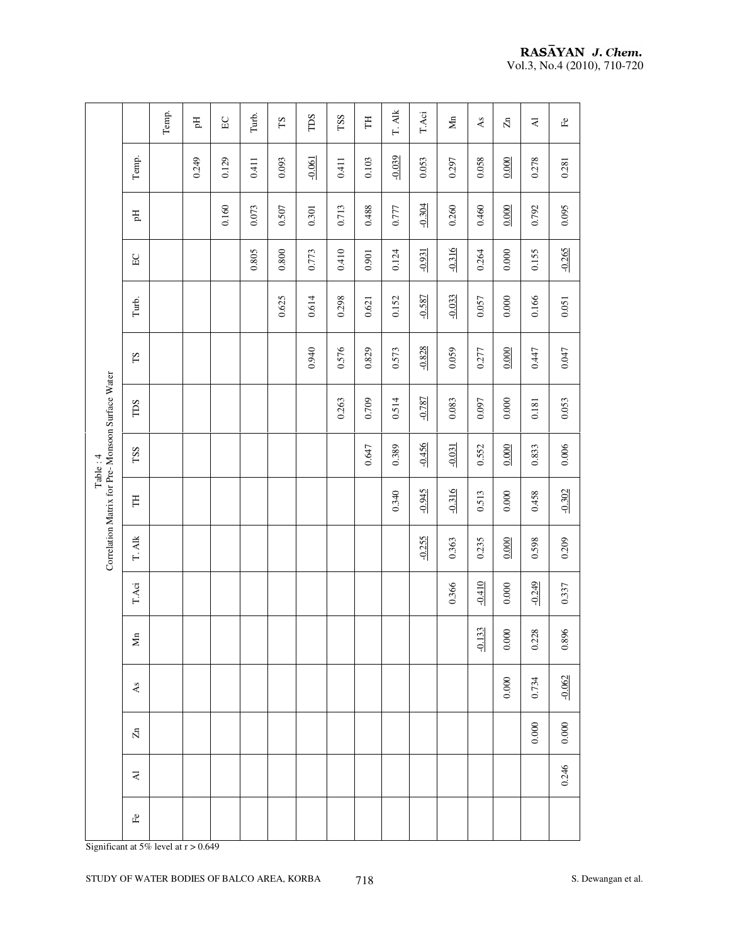| $-0.039$<br>$-0.061$<br>Temp.<br>0.249<br>0.093<br>0.103<br>0.053<br>0.058<br>0.000<br>0.278<br>0.129<br>0.411<br>0.411<br>0.297<br>0.281<br>$-0.304$<br>0.160<br>0.713<br>0.000<br>0.095<br>0.073<br>0.507<br>0.488<br>0.260<br>0.460<br>0.792<br>0.777<br>0.301<br>Eq<br>$-0.265$<br>$-0.316$<br>0.410<br>0.805<br>$0.800\,$<br>0.773<br>$-0.931$<br>0.155<br>$0.000$<br>0.124<br>0.264<br>0.901<br>$_{\rm EC}$<br>$-0.033$<br>0.625<br>$-0.587$<br>0.166<br>0.614<br>0.298<br>$0.000$<br>0.152<br>0.057<br>Turb.<br>0.621<br>0.051<br>$-0.828$<br>0.940<br>0.576<br>0.447<br>0.047<br>0.829<br>0.573<br>0.059<br>0.277<br>0.000<br>$\mathop{\rm SI}$<br>Correlation Matrix for Pre-Monsoon Surface Water<br>$-0.787$<br>0.263<br>0.709<br>0.514<br>$0.000$<br>0.053<br>0.083<br>0.097<br>0.181<br>TDS<br>$-0.456$<br>0.647<br>$-0.031$<br>0.006<br>0.389<br>0.000<br>0.833<br>0.552<br>TSS<br>Table: 4<br>$-0.945$<br>$-0.316$<br>$-0.302$<br>0.340<br>0.458<br>0.513<br>$0.000\,$<br>H<br>T. Alk<br>$-0.255$<br>0.235<br>0.000<br>0.598<br>0.209<br>0.363<br>$-0.410$<br>$-0.249$<br>T.Aci<br>0.366<br>$0.000$<br>0.337<br>33<br>0.000<br>0.896<br>0.228<br>$\blacksquare$<br>Σ<br>$-0.1$<br>$-0.062$<br>0.000<br>0.734<br>$\mathbb{A}\mathbf{s}$<br>$0.000\,$<br>$0.000\,$<br>$\Xi$<br>0.246<br>$\gimel$<br>$\mathbb{E}^{\mathbb{O}}$ |  | Temp. | E | $\rm E C$ | Turb. | $\mathbf{S}\mathbf{T}$ | TDS | TSS | H | T. Alk | $_{\rm T. Aci}$ | $\mathop{\rm Mn}\nolimits$ | As | $\overline{\mathbf{z}}$ | $\overline{\mathbf{z}}$ | $\mathbb{E}$ |  |
|--------------------------------------------------------------------------------------------------------------------------------------------------------------------------------------------------------------------------------------------------------------------------------------------------------------------------------------------------------------------------------------------------------------------------------------------------------------------------------------------------------------------------------------------------------------------------------------------------------------------------------------------------------------------------------------------------------------------------------------------------------------------------------------------------------------------------------------------------------------------------------------------------------------------------------------------------------------------------------------------------------------------------------------------------------------------------------------------------------------------------------------------------------------------------------------------------------------------------------------------------------------------------------------------------------------------------------------------|--|-------|---|-----------|-------|------------------------|-----|-----|---|--------|-----------------|----------------------------|----|-------------------------|-------------------------|--------------|--|
|                                                                                                                                                                                                                                                                                                                                                                                                                                                                                                                                                                                                                                                                                                                                                                                                                                                                                                                                                                                                                                                                                                                                                                                                                                                                                                                                            |  |       |   |           |       |                        |     |     |   |        |                 |                            |    |                         |                         |              |  |
|                                                                                                                                                                                                                                                                                                                                                                                                                                                                                                                                                                                                                                                                                                                                                                                                                                                                                                                                                                                                                                                                                                                                                                                                                                                                                                                                            |  |       |   |           |       |                        |     |     |   |        |                 |                            |    |                         |                         |              |  |
|                                                                                                                                                                                                                                                                                                                                                                                                                                                                                                                                                                                                                                                                                                                                                                                                                                                                                                                                                                                                                                                                                                                                                                                                                                                                                                                                            |  |       |   |           |       |                        |     |     |   |        |                 |                            |    |                         |                         |              |  |
|                                                                                                                                                                                                                                                                                                                                                                                                                                                                                                                                                                                                                                                                                                                                                                                                                                                                                                                                                                                                                                                                                                                                                                                                                                                                                                                                            |  |       |   |           |       |                        |     |     |   |        |                 |                            |    |                         |                         |              |  |
|                                                                                                                                                                                                                                                                                                                                                                                                                                                                                                                                                                                                                                                                                                                                                                                                                                                                                                                                                                                                                                                                                                                                                                                                                                                                                                                                            |  |       |   |           |       |                        |     |     |   |        |                 |                            |    |                         |                         |              |  |
|                                                                                                                                                                                                                                                                                                                                                                                                                                                                                                                                                                                                                                                                                                                                                                                                                                                                                                                                                                                                                                                                                                                                                                                                                                                                                                                                            |  |       |   |           |       |                        |     |     |   |        |                 |                            |    |                         |                         |              |  |
|                                                                                                                                                                                                                                                                                                                                                                                                                                                                                                                                                                                                                                                                                                                                                                                                                                                                                                                                                                                                                                                                                                                                                                                                                                                                                                                                            |  |       |   |           |       |                        |     |     |   |        |                 |                            |    |                         |                         |              |  |
|                                                                                                                                                                                                                                                                                                                                                                                                                                                                                                                                                                                                                                                                                                                                                                                                                                                                                                                                                                                                                                                                                                                                                                                                                                                                                                                                            |  |       |   |           |       |                        |     |     |   |        |                 |                            |    |                         |                         |              |  |
|                                                                                                                                                                                                                                                                                                                                                                                                                                                                                                                                                                                                                                                                                                                                                                                                                                                                                                                                                                                                                                                                                                                                                                                                                                                                                                                                            |  |       |   |           |       |                        |     |     |   |        |                 |                            |    |                         |                         |              |  |
|                                                                                                                                                                                                                                                                                                                                                                                                                                                                                                                                                                                                                                                                                                                                                                                                                                                                                                                                                                                                                                                                                                                                                                                                                                                                                                                                            |  |       |   |           |       |                        |     |     |   |        |                 |                            |    |                         |                         |              |  |
|                                                                                                                                                                                                                                                                                                                                                                                                                                                                                                                                                                                                                                                                                                                                                                                                                                                                                                                                                                                                                                                                                                                                                                                                                                                                                                                                            |  |       |   |           |       |                        |     |     |   |        |                 |                            |    |                         |                         |              |  |
|                                                                                                                                                                                                                                                                                                                                                                                                                                                                                                                                                                                                                                                                                                                                                                                                                                                                                                                                                                                                                                                                                                                                                                                                                                                                                                                                            |  |       |   |           |       |                        |     |     |   |        |                 |                            |    |                         |                         |              |  |
|                                                                                                                                                                                                                                                                                                                                                                                                                                                                                                                                                                                                                                                                                                                                                                                                                                                                                                                                                                                                                                                                                                                                                                                                                                                                                                                                            |  |       |   |           |       |                        |     |     |   |        |                 |                            |    |                         |                         |              |  |
|                                                                                                                                                                                                                                                                                                                                                                                                                                                                                                                                                                                                                                                                                                                                                                                                                                                                                                                                                                                                                                                                                                                                                                                                                                                                                                                                            |  |       |   |           |       |                        |     |     |   |        |                 |                            |    |                         |                         |              |  |
|                                                                                                                                                                                                                                                                                                                                                                                                                                                                                                                                                                                                                                                                                                                                                                                                                                                                                                                                                                                                                                                                                                                                                                                                                                                                                                                                            |  |       |   |           |       |                        |     |     |   |        |                 |                            |    |                         |                         |              |  |
| Significant at 5% level at $r > 0.649$                                                                                                                                                                                                                                                                                                                                                                                                                                                                                                                                                                                                                                                                                                                                                                                                                                                                                                                                                                                                                                                                                                                                                                                                                                                                                                     |  |       |   |           |       |                        |     |     |   |        |                 |                            |    |                         |                         |              |  |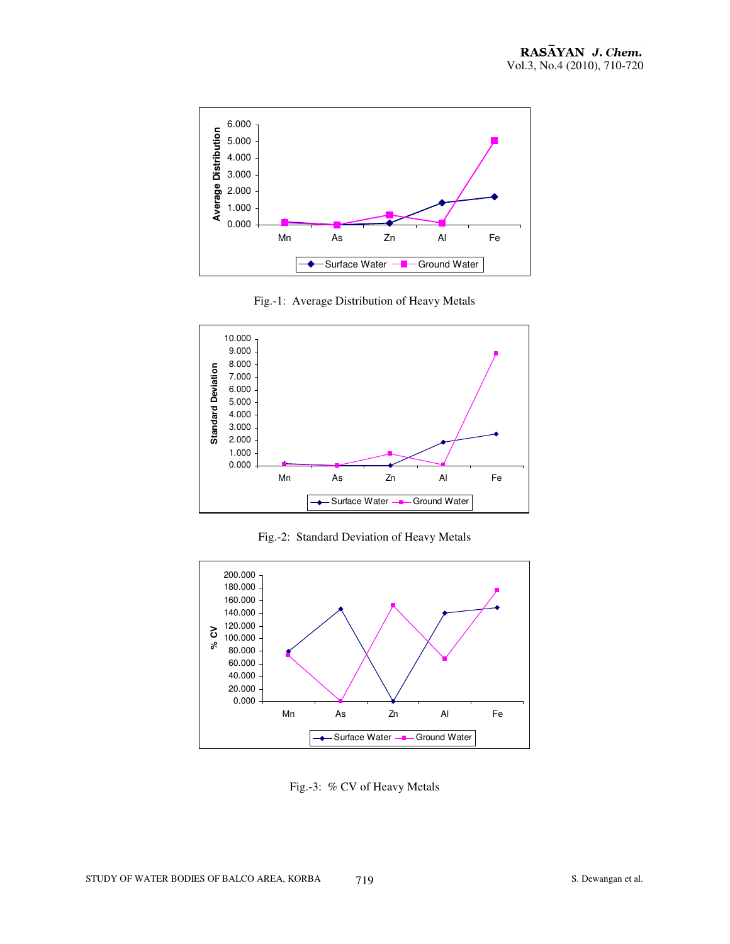

Fig.-1: Average Distribution of Heavy Metals



Fig.-2: Standard Deviation of Heavy Metals



Fig.-3: % CV of Heavy Metals